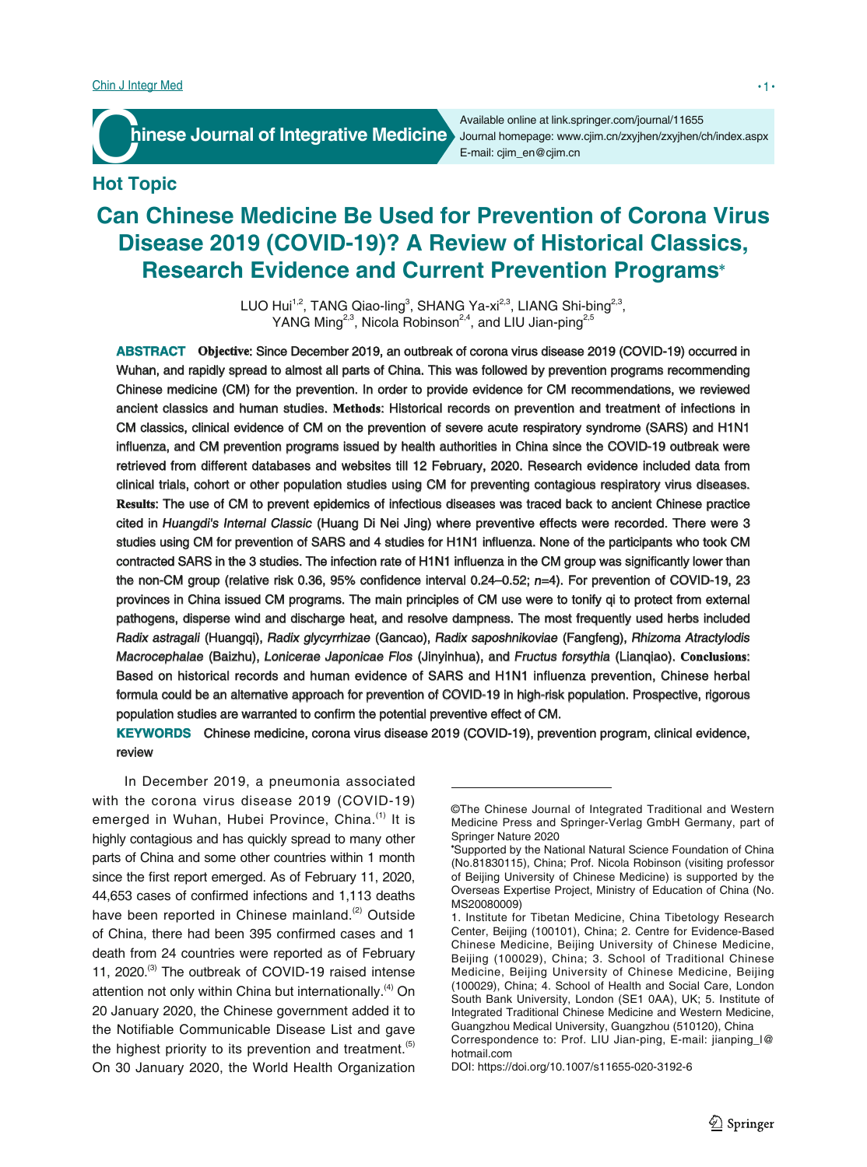**France Journal of Integrative Medicine** Journal homepage: www.

Available online at link.springer.com/journal/11655 Journal homepage: www.cjim.cn/zxyjhen/zxyjhen/ch/index.aspx

# **Hot Topic**

# **Can Chinese Medicine Be Used for Prevention of Corona Virus Disease 2019 (COVID-19)? A Review of Historical Classics, Research Evidence and Current Prevention Programs**

LUO Hui<sup>1,2</sup>, TANG Qiao-ling<sup>3</sup>, SHANG Ya-xi<sup>2,3</sup>, LIANG Shi-bing<sup>2,3</sup>, YANG Ming<sup>2,3</sup>, Nicola Robinson<sup>2,4</sup>, and LIU Jian-ping<sup>2,5</sup>

**ABSTRACT Objective** : Since December 2019, an outbreak of corona virus disease 2019 (COVID-19) occurred in Wuhan, and rapidly spread to almost all parts of China. This was followed by prevention programs recommending Chinese medicine (CM) for the prevention. In order to provide evidence for CM recommendations, we reviewed ancient classics and human studies. **Methods** : Historical records on prevention and treatment of infections in CM classics, clinical evidence of CM on the prevention of severe acute respiratory syndrome (SARS) and H1N1 influenza, and CM prevention programs issued by health authorities in China since the COVID-19 outbreak were retrieved from different databases and websites till 12 February, 2020. Research evidence included data from clinical trials, cohort or other population studies using CM for preventing contagious respiratory virus diseases. **Results** : The use of CM to prevent epidemics of infectious diseases was traced back to ancient Chinese practice cited in Huangdi's Internal Classic (Huang Di Nei Jing) where preventive effects were recorded. There were 3 studies using CM for prevention of SARS and 4 studies for H1N1 influenza. None of the participants who took CM contracted SARS in the 3 studies. The infection rate of H1N1 influenza in the CM group was significantly lower than the non-CM group (relative risk 0.36, 95% confidence interval 0.24–0.52;  $n=4$ ). For prevention of COVID-19, 23 provinces in China issued CM programs. The main principles of CM use were to tonify qi to protect from external pathogens, disperse wind and discharge heat, and resolve dampness. The most frequently used herbs included Radix astragali (Huangqi), Radix glycyrrhizae (Gancao), Radix saposhnikoviae (Fangfeng), Rhizoma Atractylodis Macrocephalae (Baizhu), Lonicerae Japonicae Flos (Jinyinhua), and Fructus forsythia (Lianqiao). **Conclusions** : Based on historical records and human evidence of SARS and H1N1 influenza prevention, Chinese herbal formula could be an alternative approach for prevention of COVID-19 in high-risk population. Prospective, rigorous population studies are warranted to confirm the potential preventive effect of CM.

**KEYWORDS** Chinese medicine, corona virus disease 2019 (COVID-19), prevention program, clinical evidence, review

In December 2019, a pneumonia associated with the corona virus disease 2019 (COVID-19) emerged in Wuhan, Hubei Province, China.<sup>(1)</sup> It is highly contagious and has quickly spread to many other parts of China and some other countries within 1 month since the first report emerged. As of February 11, 2020, 44,653 cases of confirmed infections and 1,113 deaths have been reported in Chinese mainland.<sup>(2)</sup> Outside of China, there had been 395 confirmed cases and 1 death from 24 countries were reported as of February 11, 2020.<sup>(3)</sup> The outbreak of COVID-19 raised intense attention not only within China but internationally.<sup>(4)</sup> On 20 January 2020, the Chinese government added it to the Notifiable Communicable Disease List and gave the highest priority to its prevention and treatment.<sup>(5)</sup> On 30 January 2020, the World Health Organization

<sup>©</sup>The Chinese Journal of Integrated Traditional and Western Medicine Press and Springer-Verlag GmbH Germany, part of Springer Nature 2020

Supported by the National Natural Science Foundation of China (No.81830115), China; Prof. Nicola Robinson (visiting professor of Beijing University of Chinese Medicine) is supported by the Overseas Expertise Project, Ministry of Education of China (No. MS20080009)

<sup>1.</sup> Institute for Tibetan Medicine, China Tibetology Research Center, Beijing (100101), China; 2. Centre for Evidence-Based Chinese Medicine, Beijing University of Chinese Medicine, Beijing (100029), China; 3. School of Traditional Chinese Medicine, Beijing University of Chinese Medicine, Beijing (100029), China; 4. School of Health and Social Care, London South Bank University, London (SE1 0AA), UK; 5. Institute of Integrated Traditional Chinese Medicine and Western Medicine, Guangzhou Medical University, Guangzhou (510120), China Correspondence to: Prof. LIU Jian-ping, E-mail: jianping\_l@ hotmail.com

DOI: https://doi.org/10.1007/s11655-020-3192-6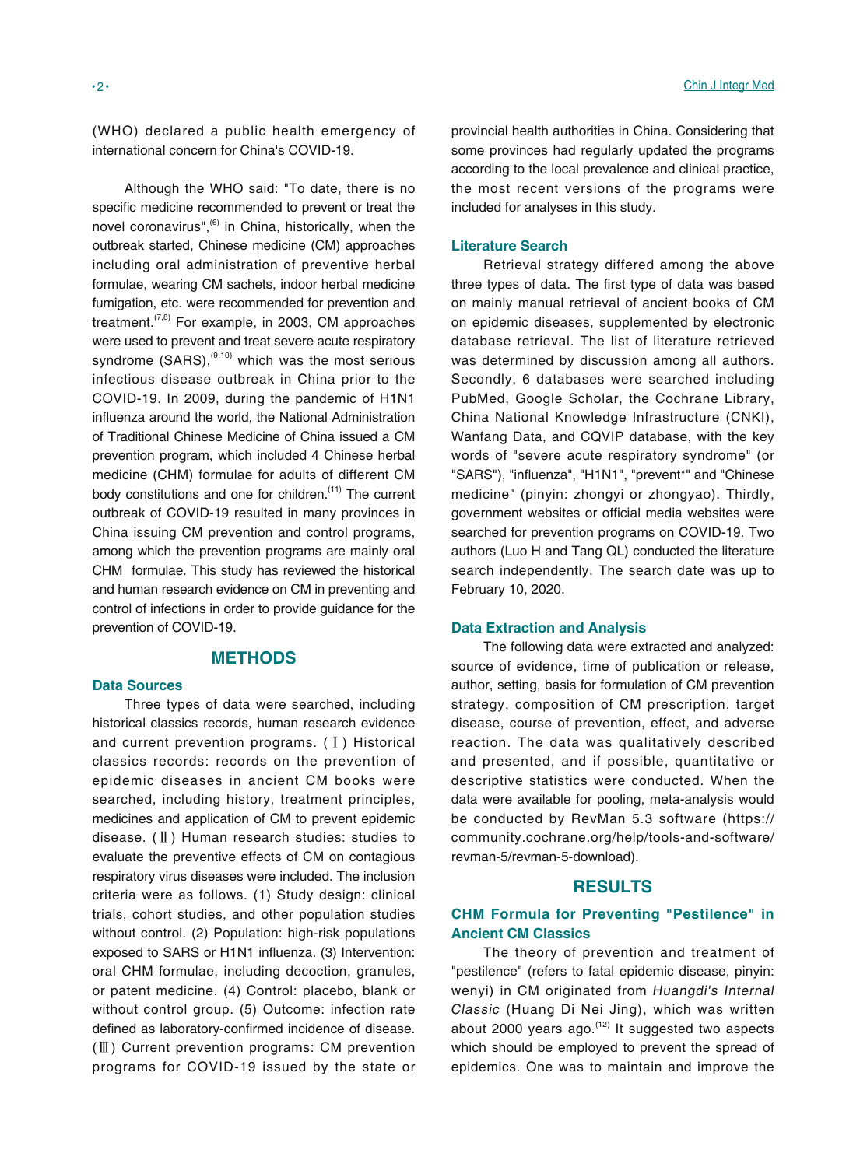(WHO) declared a public health emergency of international concern for China's COVID-19.

Although the WHO said: "To date, there is no specific medicine recommended to prevent or treat the novel coronavirus", $^{(6)}$  in China, historically, when the outbreak started, Chinese medicine (CM) approaches including oral administration of preventive herbal formulae, wearing CM sachets, indoor herbal medicine fumigation, etc. were recommended for prevention and treatment.<sup> $(7,8)$ </sup> For example, in 2003, CM approaches were used to prevent and treat severe acute respiratory syndrome  $(SARS)$ ,<sup>(9,10)</sup> which was the most serious infectious disease outbreak in China prior to the COVID-19. In 2009, during the pandemic of H1N1 influenza around the world, the National Administration of Traditional Chinese Medicine of China issued a CM prevention program, which included 4 Chinese herbal medicine (CHM) formulae for adults of different CM body constitutions and one for children.<sup>(11)</sup> The current outbreak of COVID-19 resulted in many provinces in China issuing CM prevention and control programs, among which the prevention programs are mainly oral CHM formulae. This study has reviewed the historical and human research evidence on CM in preventing and control of infections in order to provide guidance for the prevention of COVID-19.

# **METHODS**

## **Data Sources**

Three types of data were searched, including historical classics records, human research evidence and current prevention programs. (Ⅰ) Historical classics records: records on the prevention of epidemic diseases in ancient CM books were searched, including history, treatment principles, medicines and application of CM to prevent epidemic disease. (Ⅱ) Human research studies: studies to evaluate the preventive effects of CM on contagious respiratory virus diseases were included. The inclusion criteria were as follows. (1) Study design: clinical trials, cohort studies, and other population studies without control. (2) Population: high-risk populations exposed to SARS or H1N1 influenza. (3) Intervention: oral CHM formulae, including decoction, granules, or patent medicine. (4) Control: placebo, blank or without control group. (5) Outcome: infection rate defined as laboratory-confirmed incidence of disease. (Ⅲ) Current prevention programs: CM prevention programs for COVID-19 issued by the state or provincial health authorities in China. Considering that some provinces had regularly updated the programs according to the local prevalence and clinical practice, the most recent versions of the programs were included for analyses in this study.

#### **Literature Search**

Retrieval strategy differed among the above three types of data. The first type of data was based on mainly manual retrieval of ancient books of CM on epidemic diseases, supplemented by electronic database retrieval. The list of literature retrieved was determined by discussion among all authors. Secondly, 6 databases were searched including PubMed, Google Scholar, the Cochrane Library, China National Knowledge Infrastructure (CNKI), Wanfang Data, and CQVIP database, with the key words of "severe acute respiratory syndrome" (or "SARS"), "influenza", "H1N1", "prevent\*" and "Chinese medicine" (pinyin: zhongyi or zhongyao). Thirdly, government websites or official media websites were searched for prevention programs on COVID-19. Two authors (Luo H and Tang QL) conducted the literature search independently. The search date was up to February 10, 2020.

# **Data Extraction and Analysis**

The following data were extracted and analyzed: source of evidence, time of publication or release, author, setting, basis for formulation of CM prevention strategy, composition of CM prescription, target disease, course of prevention, effect, and adverse reaction. The data was qualitatively described and presented, and if possible, quantitative or descriptive statistics were conducted. When the data were available for pooling, meta-analysis would be conducted by RevMan 5.3 software (https:// community.cochrane.org/help/tools-and-software/ revman-5/revman-5-download).

## **RESULTS**

# **CHM Formula for Preventing "Pestilence" in Ancient CM Classics**

The theory of prevention and treatment of "pestilence" (refers to fatal epidemic disease, pinyin: wenyi) in CM originated from Huangdi's Internal Classic (Huang Di Nei Jing), which was written about 2000 years ago. $(12)$  It suggested two aspects which should be employed to prevent the spread of epidemics. One was to maintain and improve the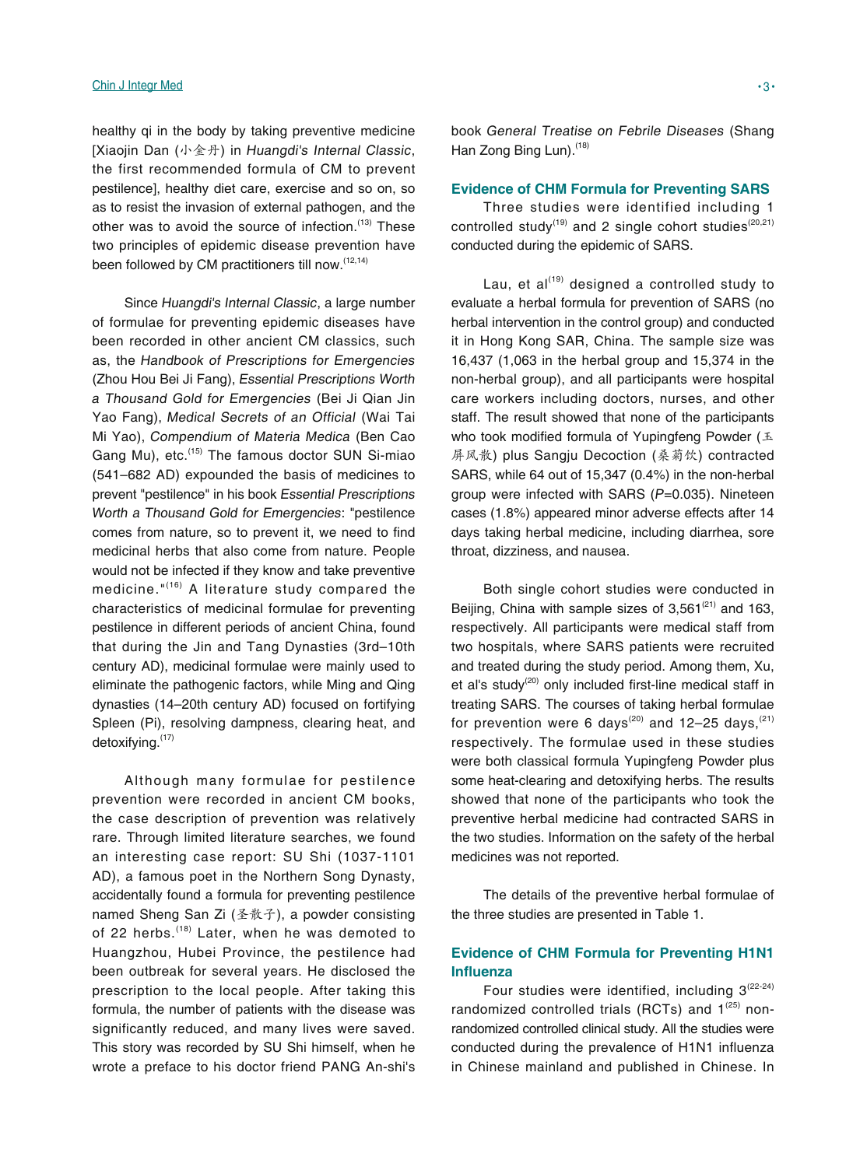#### Chin J Integr Med • 3 •

healthy qi in the body by taking preventive medicine [Xiaojin Dan (小金丹) in Huangdi's Internal Classic, the first recommended formula of CM to prevent pestilence], healthy diet care, exercise and so on, so as to resist the invasion of external pathogen, and the other was to avoid the source of infection. $(13)$  These two principles of epidemic disease prevention have been followed by CM practitioners till now. (12,14)

Since Huangdi's Internal Classic, a large number of formulae for preventing epidemic diseases have been recorded in other ancient CM classics, such as, the Handbook of Prescriptions for Emergencies (Zhou Hou Bei Ji Fang), Essential Prescriptions Worth a Thousand Gold for Emergencies (Bei Ji Qian Jin Yao Fang), Medical Secrets of an Official (Wai Tai Mi Yao), Compendium of Materia Medica (Ben Cao Gang Mu), etc.<sup>(15)</sup> The famous doctor SUN Si-miao (541–682 AD) expounded the basis of medicines to prevent "pestilence" in his book Essential Prescriptions Worth a Thousand Gold for Emergencies: "pestilence comes from nature, so to prevent it, we need to find medicinal herbs that also come from nature. People would not be infected if they know and take preventive medicine."<sup>(16)</sup> A literature study compared the characteristics of medicinal formulae for preventing pestilence in different periods of ancient China, found that during the Jin and Tang Dynasties (3rd–10th century AD), medicinal formulae were mainly used to eliminate the pathogenic factors, while Ming and Qing dynasties (14–20th century AD) focused on fortifying Spleen (Pi), resolving dampness, clearing heat, and detoxifying.(17)

Although many formulae for pestilence prevention were recorded in ancient CM books, the case description of prevention was relatively rare. Through limited literature searches, we found an interesting case report: SU Shi (1037-1101 AD), a famous poet in the Northern Song Dynasty, accidentally found a formula for preventing pestilence named Sheng San Zi (圣散子), a powder consisting of 22 herbs.<sup>(18)</sup> Later, when he was demoted to Huangzhou, Hubei Province, the pestilence had been outbreak for several years. He disclosed the prescription to the local people. After taking this formula, the number of patients with the disease was significantly reduced, and many lives were saved. This story was recorded by SU Shi himself, when he wrote a preface to his doctor friend PANG An-shi's

book General Treatise on Febrile Diseases (Shang Han Zong Bing Lun).<sup>(18)</sup>

#### **Evidence of CHM Formula for Preventing SARS**

Three studies were identified including 1 controlled study<sup>(19)</sup> and 2 single cohort studies<sup>(20,21)</sup> conducted during the epidemic of SARS.

Lau, et  $al^{(19)}$  designed a controlled study to evaluate a herbal formula for prevention of SARS (no herbal intervention in the control group) and conducted it in Hong Kong SAR, China. The sample size was 16,437 (1,063 in the herbal group and 15,374 in the non-herbal group), and all participants were hospital care workers including doctors, nurses, and other staff. The result showed that none of the participants who took modified formula of Yupingfeng Powder ( $\pm$ 屏风散) plus Sangju Decoction (桑菊饮) contracted SARS, while 64 out of 15,347 (0.4%) in the non-herbal group were infected with SARS (P=0.035). Nineteen cases (1.8%) appeared minor adverse effects after 14 days taking herbal medicine, including diarrhea, sore throat, dizziness, and nausea.

Both single cohort studies were conducted in Beijing, China with sample sizes of  $3,561^{(21)}$  and 163, respectively. All participants were medical staff from two hospitals, where SARS patients were recruited and treated during the study period. Among them, Xu, et al's study<sup>(20)</sup> only included first-line medical staff in treating SARS. The courses of taking herbal formulae for prevention were 6 days<sup>(20)</sup> and 12–25 days,<sup>(21)</sup> respectively. The formulae used in these studies were both classical formula Yupingfeng Powder plus some heat-clearing and detoxifying herbs. The results showed that none of the participants who took the preventive herbal medicine had contracted SARS in the two studies. Information on the safety of the herbal medicines was not reported.

The details of the preventive herbal formulae of the three studies are presented in Table 1.

# **Evidence of CHM Formula for Preventing H1N1 Infl uenza**

Four studies were identified, including  $3^{(22-24)}$ randomized controlled trials (RCTs) and  $1^{(25)}$  nonrandomized controlled clinical study. All the studies were conducted during the prevalence of H1N1 influenza in Chinese mainland and published in Chinese. In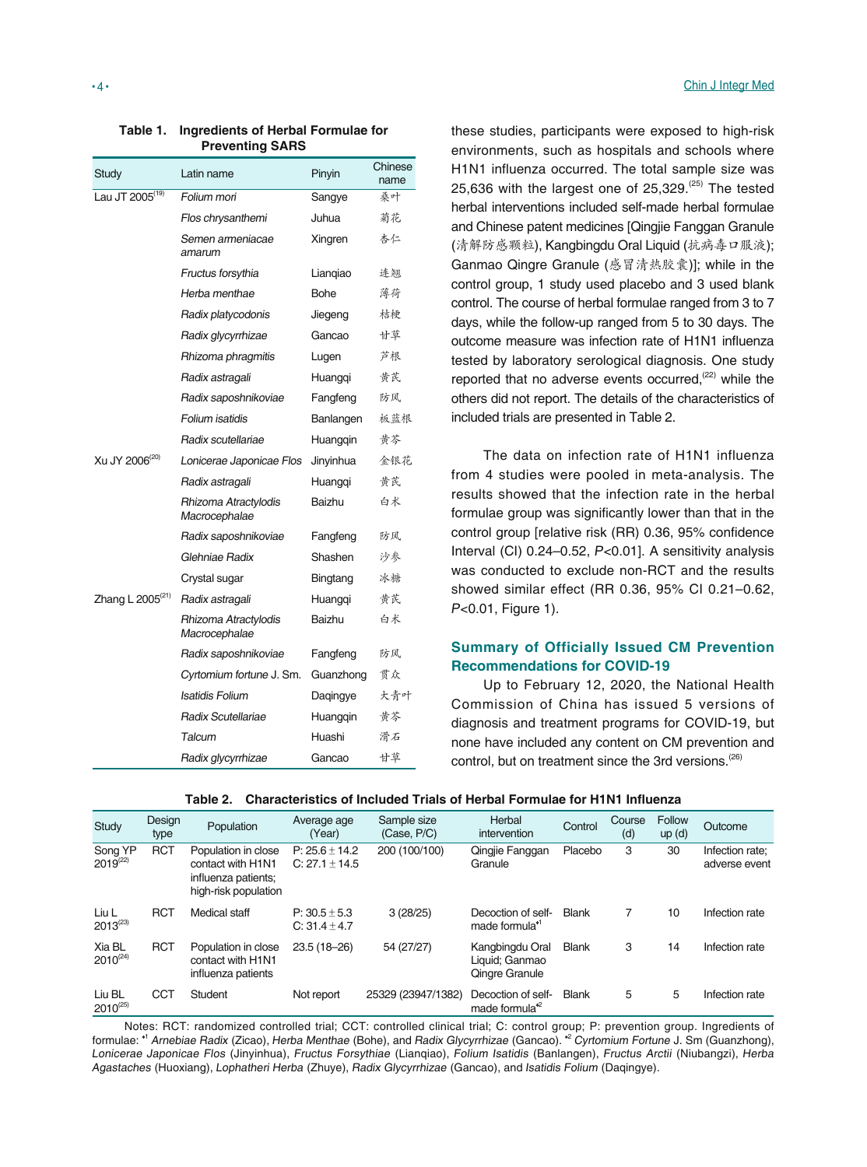| Study                        | Latin name                            | Pinyin      | Chinese<br>name |
|------------------------------|---------------------------------------|-------------|-----------------|
| Lau JT 2005 <sup>(19)</sup>  | Folium mori                           | Sangye      | 桑叶              |
|                              | Flos chrysanthemi                     | Juhua       | 菊花              |
|                              | Semen armeniacae<br>amarum            | Xingren     | 杏仁              |
|                              | Fructus forsythia                     | Liangiao    | 连翘              |
|                              | Herba menthae                         | <b>Bohe</b> | 薄荷              |
|                              | Radix platycodonis                    | Jiegeng     | 桔梗              |
|                              | Radix glycyrrhizae                    | Gancao      | 甘草              |
|                              | Rhizoma phragmitis                    | Lugen       | 芦根              |
|                              | Radix astragali                       | Huangqi     | 黄芪              |
|                              | Radix saposhnikoviae                  | Fangfeng    | 防风              |
|                              | Folium isatidis                       | Banlangen   | 板蓝根             |
|                              | Radix scutellariae                    | Huangqin    | 黄芩              |
| Xu JY 2006 <sup>(20)</sup>   | Lonicerae Japonicae Flos              | Jinyinhua   | 全银花             |
|                              | Radix astragali                       | Huangqi     | 黄芪              |
|                              | Rhizoma Atractylodis<br>Macrocephalae | Baizhu      | 白术              |
|                              | Radix saposhnikoviae                  | Fangfeng    | 防风              |
|                              | Glehniae Radix                        | Shashen     | 沙参              |
|                              | Crystal sugar                         | Bingtang    | 冰糖              |
| Zhang L 2005 <sup>(21)</sup> | Radix astragali                       | Huangqi     | 黄芪              |
|                              | Rhizoma Atractylodis<br>Macrocephalae | Baizhu      | 白术              |
|                              | Radix saposhnikoviae                  | Fangfeng    | 防风              |
|                              | Cyrtomium fortune J. Sm.              | Guanzhong   | 贯众              |
|                              | Isatidis Folium                       | Dagingye    | 大青叶             |
|                              | Radix Scutellariae                    | Huanggin    | 黄芩              |
|                              | Talcum                                | Huashi      | 滑石              |
|                              | Radix glycyrrhizae                    | Gancao      | 甘草              |

#### **Table 1. Ingredients of Herbal Formulae for Preventing SARS**

these studies, participants were exposed to high-risk environments, such as hospitals and schools where H1N1 influenza occurred. The total sample size was 25,636 with the largest one of  $25,329$ .<sup> $(25)$ </sup> The tested herbal interventions included self-made herbal formulae and Chinese patent medicines [Qingjie Fanggan Granule (清解防感颗粒), Kangbingdu Oral Liquid (抗病毒口服液); Ganmao Qingre Granule (感冒清热胶囊)]; while in the control group, 1 study used placebo and 3 used blank control. The course of herbal formulae ranged from 3 to 7 days, while the follow-up ranged from 5 to 30 days. The outcome measure was infection rate of H1N1 influenza tested by laboratory serological diagnosis. One study reported that no adverse events occurred, $(22)$  while the others did not report. The details of the characteristics of included trials are presented in Table 2.

The data on infection rate of H1N1 influenza from 4 studies were pooled in meta-analysis. The results showed that the infection rate in the herbal formulae group was significantly lower than that in the control group [relative risk (RR) 0.36, 95% confidence Interval (CI) 0.24–0.52, P<0.01]. A sensitivity analysis was conducted to exclude non-RCT and the results showed similar effect (RR 0.36, 95% CI 0.21–0.62, P<0.01, Figure 1).

# **Summary of Officially Issued CM Prevention Recommendations for COVID-19**

Up to February 12, 2020, the National Health Commission of China has issued 5 versions of diagnosis and treatment programs for COVID-19, but none have included any content on CM prevention and control, but on treatment since the 3rd versions.<sup>(26)</sup>

| Study                    | Design<br>type | Population                                                                              | Average age<br>(Year)                  | Sample size<br>(Case, P/C) | Herbal<br>intervention                              | Control      | Course<br>(d) | Follow<br>up(d) | Outcome                          |
|--------------------------|----------------|-----------------------------------------------------------------------------------------|----------------------------------------|----------------------------|-----------------------------------------------------|--------------|---------------|-----------------|----------------------------------|
| Song YP<br>$2019^{(22)}$ | <b>RCT</b>     | Population in close<br>contact with H1N1<br>influenza patients;<br>high-risk population | $P: 25.6 \pm 14.2$<br>$C: 27.1 + 14.5$ | 200 (100/100)              | Qingjie Fanggan<br>Granule                          | Placebo      | 3             | 30              | Infection rate:<br>adverse event |
| Liu L<br>$2013^{(23)}$   | <b>RCT</b>     | Medical staff                                                                           | $P: 30.5 \pm 5.3$<br>$C: 31.4 + 4.7$   | 3(28/25)                   | Decoction of self-<br>made formula <sup>*1</sup>    | <b>Blank</b> |               | 10              | Infection rate                   |
| Xia BL<br>$2010^{(24)}$  | <b>RCT</b>     | Population in close<br>contact with H1N1<br>influenza patients                          | 23.5 (18-26)                           | 54 (27/27)                 | Kangbingdu Oral<br>Liquid; Ganmao<br>Qingre Granule | <b>Blank</b> | 3             | 14              | Infection rate                   |
| Liu BL<br>$2010^{(25)}$  | <b>CCT</b>     | Student                                                                                 | Not report                             | 25329 (23947/1382)         | Decoction of self-<br>made formula <sup>®</sup>     | <b>Blank</b> | 5             | 5               | Infection rate                   |

Table 2. Characteristics of Included Trials of Herbal Formulae for H1N1 Influenza

Notes: RCT: randomized controlled trial; CCT: controlled clinical trial; C: control group; P: prevention group. Ingredients of formulae: \*1 Arnebiae Radix (Zicao), Herba Menthae (Bohe), and Radix Glycyrrhizae (Gancao). \*2 Cyrtomium Fortune J. Sm (Guanzhong), Lonicerae Japonicae Flos (Jinyinhua), Fructus Forsythiae (Lianqiao), Folium Isatidis (Banlangen), Fructus Arctii (Niubangzi), Herba Agastaches (Huoxiang), Lophatheri Herba (Zhuye), Radix Glycyrrhizae (Gancao), and Isatidis Folium (Daqingye).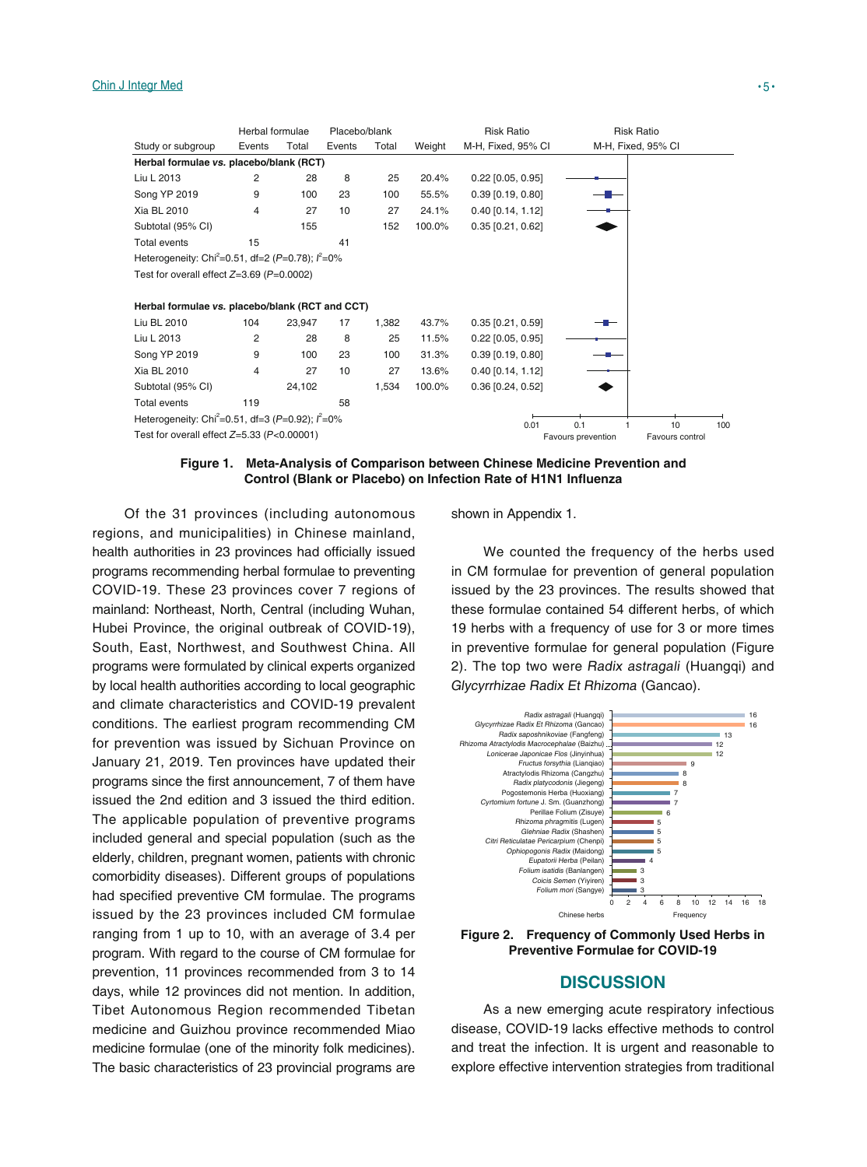|                                                                 | Herbal formulae |        | Placebo/blank |       |        | <b>Risk Ratio</b>   |                    | <b>Risk Ratio</b>  |  |
|-----------------------------------------------------------------|-----------------|--------|---------------|-------|--------|---------------------|--------------------|--------------------|--|
| Study or subgroup                                               | Events          | Total  | Events        | Total | Weight | M-H, Fixed, 95% CI  |                    | M-H, Fixed, 95% CI |  |
| Herbal formulae vs. placebo/blank (RCT)                         |                 |        |               |       |        |                     |                    |                    |  |
| Liu L 2013                                                      | 2               | 28     | 8             | 25    | 20.4%  | $0.22$ [0.05, 0.95] |                    |                    |  |
| Song YP 2019                                                    | 9               | 100    | 23            | 100   | 55.5%  | $0.39$ [0.19, 0.80] |                    |                    |  |
| Xia BL 2010                                                     | 4               | 27     | 10            | 27    | 24.1%  | $0.40$ [0.14, 1.12] |                    |                    |  |
| Subtotal (95% CI)                                               |                 | 155    |               | 152   | 100.0% | $0.35$ [0.21, 0.62] |                    |                    |  |
| Total events                                                    | 15              |        | 41            |       |        |                     |                    |                    |  |
| Heterogeneity: Chi <sup>2</sup> =0.51, df=2 (P=0.78); $l^2$ =0% |                 |        |               |       |        |                     |                    |                    |  |
| Test for overall effect $Z=3.69$ (P=0.0002)                     |                 |        |               |       |        |                     |                    |                    |  |
|                                                                 |                 |        |               |       |        |                     |                    |                    |  |
| Herbal formulae vs. placebo/blank (RCT and CCT)                 |                 |        |               |       |        |                     |                    |                    |  |
| Liu BL 2010                                                     | 104             | 23,947 | 17            | 1,382 | 43.7%  | $0.35$ [0.21, 0.59] |                    |                    |  |
| Liu L 2013                                                      | 2               | 28     | 8             | 25    | 11.5%  | $0.22$ [0.05, 0.95] |                    |                    |  |
| Song YP 2019                                                    | 9               | 100    | 23            | 100   | 31.3%  | $0.39$ [0.19, 0.80] |                    |                    |  |
| Xia BL 2010                                                     | 4               | 27     | 10            | 27    | 13.6%  | $0.40$ [0.14, 1.12] |                    |                    |  |
| Subtotal (95% CI)                                               |                 | 24,102 |               | 1,534 | 100.0% | $0.36$ [0.24, 0.52] |                    |                    |  |
| Total events                                                    | 119             |        | 58            |       |        |                     |                    |                    |  |
| Heterogeneity: Chi <sup>2</sup> =0.51, df=3 (P=0.92); $l^2$ =0% |                 |        |               | 0.01  | 0.1    | 10                  | 100                |                    |  |
| Test for overall effect $Z=5.33$ (P<0.00001)                    |                 |        |               |       |        |                     | Favours prevention | Favours control    |  |

### **Figure 1. Meta-Analysis of Comparison between Chinese Medicine Prevention and Control (Blank or Placebo) on Infection Rate of H1N1 Influenza**

Of the 31 provinces (including autonomous regions, and municipalities) in Chinese mainland, health authorities in 23 provinces had officially issued programs recommending herbal formulae to preventing COVID-19. These 23 provinces cover 7 regions of mainland: Northeast, North, Central (including Wuhan, Hubei Province, the original outbreak of COVID-19), South, East, Northwest, and Southwest China. All programs were formulated by clinical experts organized by local health authorities according to local geographic and climate characteristics and COVID-19 prevalent conditions. The earliest program recommending CM for prevention was issued by Sichuan Province on January 21, 2019. Ten provinces have updated their programs since the first announcement, 7 of them have issued the 2nd edition and 3 issued the third edition. The applicable population of preventive programs included general and special population (such as the elderly, children, pregnant women, patients with chronic comorbidity diseases). Different groups of populations had specified preventive CM formulae. The programs issued by the 23 provinces included CM formulae ranging from 1 up to 10, with an average of 3.4 per program. With regard to the course of CM formulae for prevention, 11 provinces recommended from 3 to 14 days, while 12 provinces did not mention. In addition, Tibet Autonomous Region recommended Tibetan medicine and Guizhou province recommended Miao medicine formulae (one of the minority folk medicines). The basic characteristics of 23 provincial programs are shown in Appendix 1.

We counted the frequency of the herbs used in CM formulae for prevention of general population issued by the 23 provinces. The results showed that these formulae contained 54 different herbs, of which 19 herbs with a frequency of use for 3 or more times in preventive formulae for general population (Figure 2). The top two were Radix astragali (Huangqi) and Glycyrrhizae Radix Et Rhizoma (Gancao).



**Figure 2. Frequency of Commonly Used Herbs in Preventive Formulae for COVID-19**

# **DISCUSSION**

As a new emerging acute respiratory infectious disease, COVID-19 lacks effective methods to control and treat the infection. It is urgent and reasonable to explore effective intervention strategies from traditional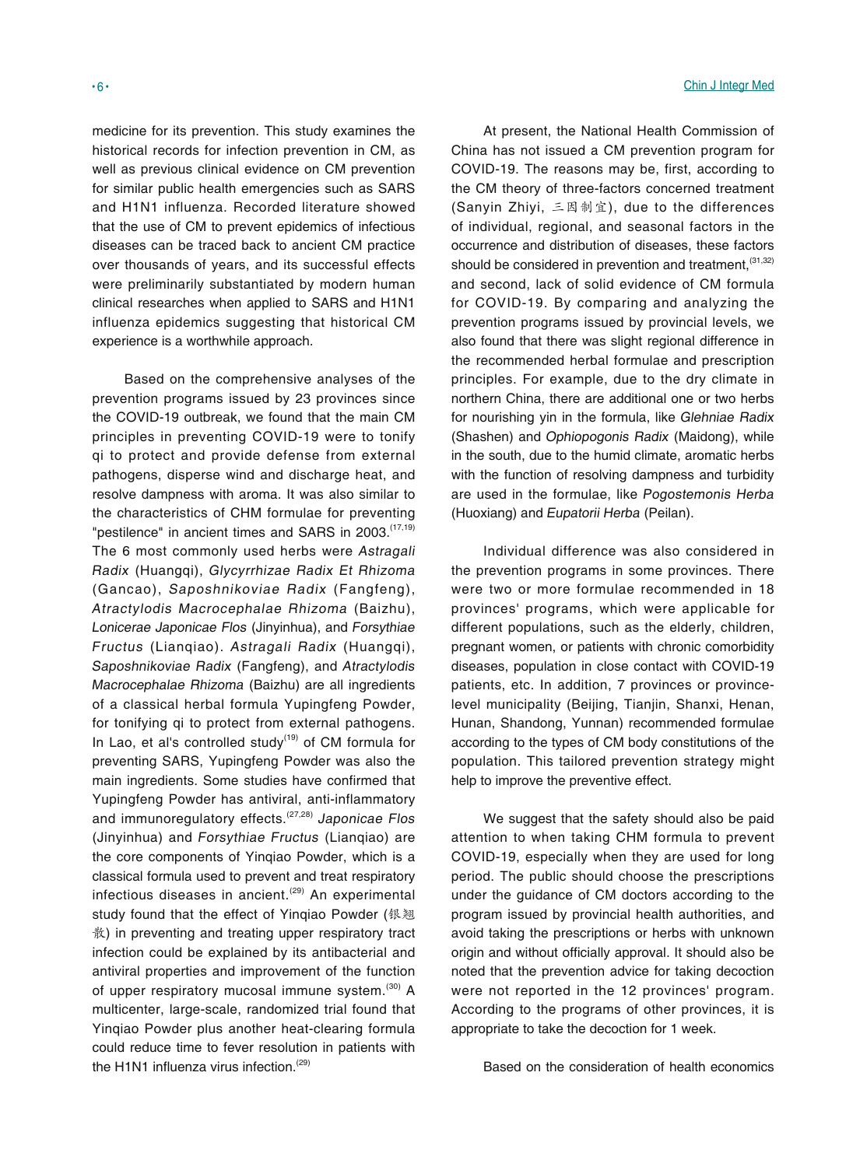medicine for its prevention. This study examines the historical records for infection prevention in CM, as well as previous clinical evidence on CM prevention for similar public health emergencies such as SARS and H1N1 influenza. Recorded literature showed that the use of CM to prevent epidemics of infectious diseases can be traced back to ancient CM practice over thousands of years, and its successful effects were preliminarily substantiated by modern human clinical researches when applied to SARS and H1N1 influenza epidemics suggesting that historical CM experience is a worthwhile approach.

Based on the comprehensive analyses of the prevention programs issued by 23 provinces since the COVID-19 outbreak, we found that the main CM principles in preventing COVID-19 were to tonify qi to protect and provide defense from external pathogens, disperse wind and discharge heat, and resolve dampness with aroma. It was also similar to the characteristics of CHM formulae for preventing "pestilence" in ancient times and SARS in 2003.<sup>(17,19)</sup> The 6 most commonly used herbs were Astragali Radix (Huangqi), Glycyrrhizae Radix Et Rhizoma (Gancao), Saposhnikoviae Radix (Fangfeng), Atractylodis Macrocephalae Rhizoma (Baizhu), Lonicerae Japonicae Flos (Jinyinhua), and Forsythiae Fructus (Lianqiao). Astragali Radix (Huangqi), Saposhnikoviae Radix (Fangfeng), and Atractylodis Macrocephalae Rhizoma (Baizhu) are all ingredients of a classical herbal formula Yupingfeng Powder, for tonifying qi to protect from external pathogens. In Lao, et al's controlled study<sup> $(19)$ </sup> of CM formula for preventing SARS, Yupingfeng Powder was also the main ingredients. Some studies have confirmed that Yupingfeng Powder has antiviral, anti-inflammatory and immunoregulatory effects.<sup>(27,28)</sup> Japonicae Flos (Jinyinhua) and Forsythiae Fructus (Lianqiao) are the core components of Yinqiao Powder, which is a classical formula used to prevent and treat respiratory infectious diseases in ancient.<sup> $(29)$ </sup> An experimental study found that the effect of Yinqiao Powder (银翘 散) in preventing and treating upper respiratory tract infection could be explained by its antibacterial and antiviral properties and improvement of the function of upper respiratory mucosal immune system.<sup>(30)</sup> A multicenter, large-scale, randomized trial found that Yinqiao Powder plus another heat-clearing formula could reduce time to fever resolution in patients with the H1N1 influenza virus infection.<sup>(29)</sup>

At present, the National Health Commission of China has not issued a CM prevention program for COVID-19. The reasons may be, first, according to the CM theory of three-factors concerned treatment (Sanyin Zhiyi, 三因制宜), due to the differences of individual, regional, and seasonal factors in the occurrence and distribution of diseases, these factors should be considered in prevention and treatment,  $(31,32)$ and second, lack of solid evidence of CM formula for COVID-19. By comparing and analyzing the prevention programs issued by provincial levels, we also found that there was slight regional difference in the recommended herbal formulae and prescription principles. For example, due to the dry climate in northern China, there are additional one or two herbs for nourishing yin in the formula, like Glehniae Radix (Shashen) and Ophiopogonis Radix (Maidong), while in the south, due to the humid climate, aromatic herbs with the function of resolving dampness and turbidity are used in the formulae, like Pogostemonis Herba (Huoxiang) and Eupatorii Herba (Peilan).

Individual difference was also considered in the prevention programs in some provinces. There were two or more formulae recommended in 18 provinces' programs, which were applicable for different populations, such as the elderly, children, pregnant women, or patients with chronic comorbidity diseases, population in close contact with COVID-19 patients, etc. In addition, 7 provinces or provincelevel municipality (Beijing, Tianjin, Shanxi, Henan, Hunan, Shandong, Yunnan) recommended formulae according to the types of CM body constitutions of the population. This tailored prevention strategy might help to improve the preventive effect.

We suggest that the safety should also be paid attention to when taking CHM formula to prevent COVID-19, especially when they are used for long period. The public should choose the prescriptions under the guidance of CM doctors according to the program issued by provincial health authorities, and avoid taking the prescriptions or herbs with unknown origin and without officially approval. It should also be noted that the prevention advice for taking decoction were not reported in the 12 provinces' program. According to the programs of other provinces, it is appropriate to take the decoction for 1 week.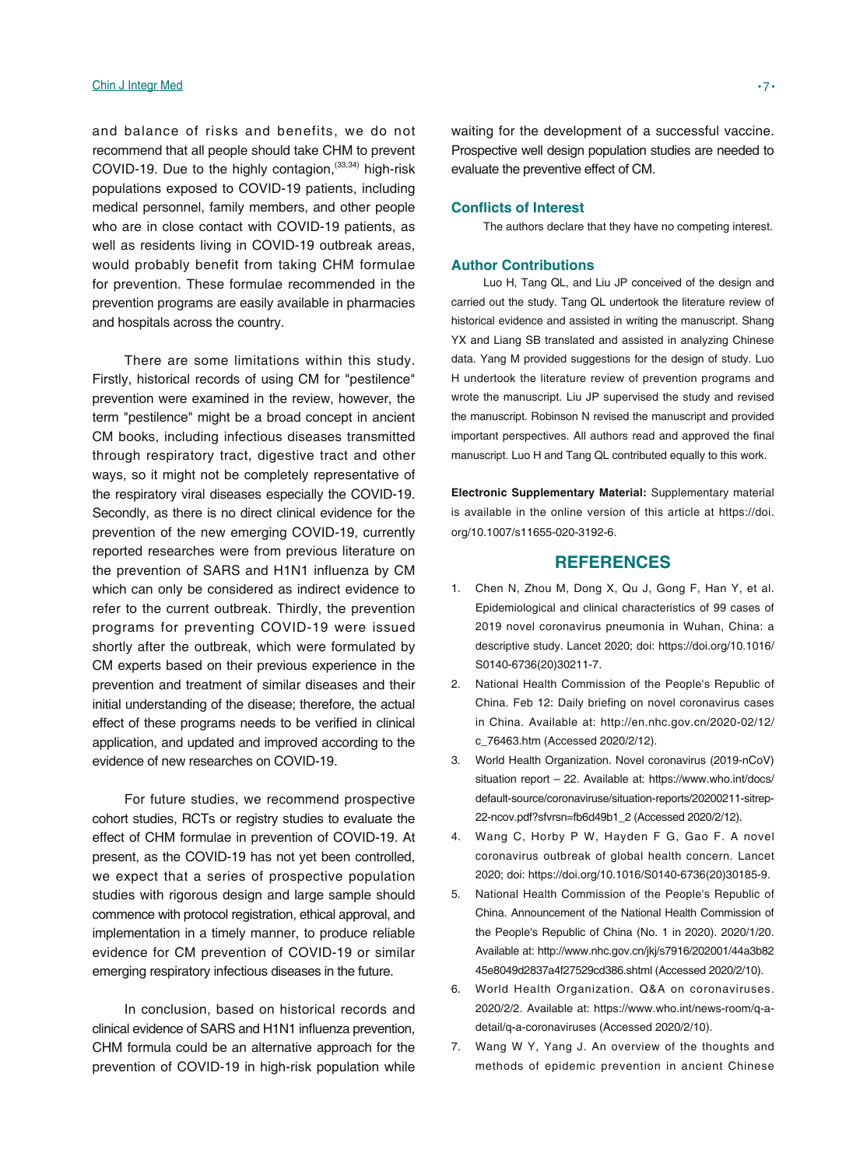#### Chin J Integr Med • 7 •

and balance of risks and benefits, we do not recommend that all people should take CHM to prevent COVID-19. Due to the highly contagion,  $(33,34)$  high-risk populations exposed to COVID-19 patients, including medical personnel, family members, and other people who are in close contact with COVID-19 patients, as well as residents living in COVID-19 outbreak areas, would probably benefit from taking CHM formulae for prevention. These formulae recommended in the prevention programs are easily available in pharmacies and hospitals across the country.

There are some limitations within this study. Firstly, historical records of using CM for "pestilence" prevention were examined in the review, however, the term "pestilence" might be a broad concept in ancient CM books, including infectious diseases transmitted through respiratory tract, digestive tract and other ways, so it might not be completely representative of the respiratory viral diseases especially the COVID-19. Secondly, as there is no direct clinical evidence for the prevention of the new emerging COVID-19, currently reported researches were from previous literature on the prevention of SARS and H1N1 influenza by CM which can only be considered as indirect evidence to refer to the current outbreak. Thirdly, the prevention programs for preventing COVID-19 were issued shortly after the outbreak, which were formulated by CM experts based on their previous experience in the prevention and treatment of similar diseases and their initial understanding of the disease; therefore, the actual effect of these programs needs to be verified in clinical application, and updated and improved according to the evidence of new researches on COVID-19.

For future studies, we recommend prospective cohort studies, RCTs or registry studies to evaluate the effect of CHM formulae in prevention of COVID-19. At present, as the COVID-19 has not yet been controlled, we expect that a series of prospective population studies with rigorous design and large sample should commence with protocol registration, ethical approval, and implementation in a timely manner, to produce reliable evidence for CM prevention of COVID-19 or similar emerging respiratory infectious diseases in the future.

In conclusion, based on historical records and clinical evidence of SARS and H1N1 influenza prevention, CHM formula could be an alternative approach for the prevention of COVID-19 in high-risk population while

waiting for the development of a successful vaccine. Prospective well design population studies are needed to evaluate the preventive effect of CM.

#### **Conflicts of Interest**

The authors declare that they have no competing interest.

# **Author Contributions**

Luo H, Tang QL, and Liu JP conceived of the design and carried out the study. Tang QL undertook the literature review of historical evidence and assisted in writing the manuscript. Shang YX and Liang SB translated and assisted in analyzing Chinese data. Yang M provided suggestions for the design of study. Luo H undertook the literature review of prevention programs and wrote the manuscript. Liu JP supervised the study and revised the manuscript. Robinson N revised the manuscript and provided important perspectives. All authors read and approved the final manuscript. Luo H and Tang QL contributed equally to this work.

**Electronic Supplementary Material:** Supplementary material is available in the online version of this article at https://doi. org/10.1007/s11655-020-3192-6.

# **REFERENCES**

- 1. Chen N, Zhou M, Dong X, Qu J, Gong F, Han Y, et al. Epidemiological and clinical characteristics of 99 cases of 2019 novel coronavirus pneumonia in Wuhan, China: a descriptive study. Lancet 2020; doi: https://doi.org/10.1016/ S0140-6736(20)30211-7.
- 2. National Health Commission of the People's Republic of China. Feb 12: Daily briefing on novel coronavirus cases in China. Available at: http://en.nhc.gov.cn/2020-02/12/ c\_76463.htm (Accessed 2020/2/12).
- 3. World Health Organization. Novel coronavirus (2019-nCoV) situation report – 22. Available at: https://www.who.int/docs/ default-source/coronaviruse/situation-reports/20200211-sitrep-22-ncov.pdf?sfvrsn=fb6d49b1\_2 (Accessed 2020/2/12).
- 4. Wang C, Horby P W, Hayden F G, Gao F. A novel coronavirus outbreak of global health concern. Lancet 2020; doi: https://doi.org/10.1016/S0140-6736(20)30185-9.
- 5. National Health Commission of the People's Republic of China. Announcement of the National Health Commission of the People's Republic of China (No. 1 in 2020). 2020/1/20. Available at: http://www.nhc.gov.cn/jkj/s7916/202001/44a3b82 45e8049d2837a4f27529cd386.shtml (Accessed 2020/2/10).
- 6. World Health Organization. Q&A on coronaviruses. 2020/2/2. Available at: https://www.who.int/news-room/q-adetail/q-a-coronaviruses (Accessed 2020/2/10).
- 7. Wang W Y, Yang J. An overview of the thoughts and methods of epidemic prevention in ancient Chinese